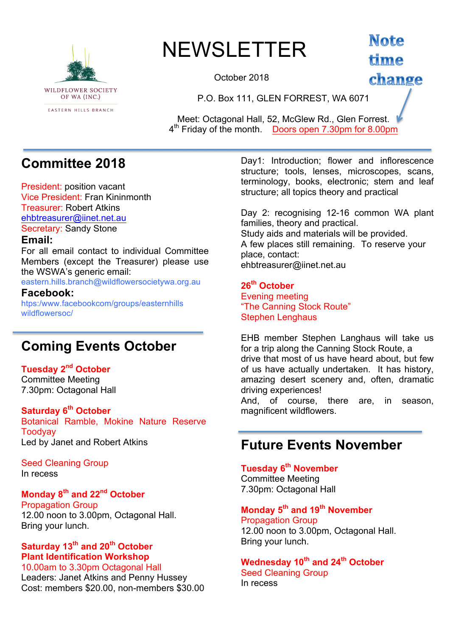

# NEWSLETTER

October 2018

# **Note** time change

P.O. Box 111, GLEN FORREST, WA 6071

Meet: Octagonal Hall, 52, McGlew Rd., Glen Forrest. 4<sup>th</sup> Friday of the month. Doors open 7.30pm for 8.00pm

# **Committee 2018**

President: position vacant Vice President: Fran Kininmonth Treasurer: Robert Atkins ehbtreasurer@iinet.net.au Secretary: Sandy Stone

#### **Email:**

For all email contact to individual Committee Members (except the Treasurer) please use the WSWA's generic email:

eastern.hills.branch@wildflowersocietywa.org.au

#### **Facebook:**

htps:/www.facebookcom/groups/easternhills wildflowersoc/

# **Coming Events October**

# **Tuesday 2nd October**

Committee Meeting 7.30pm: Octagonal Hall

#### **Saturday 6th October**

Botanical Ramble, Mokine Nature Reserve Toodyay Led by Janet and Robert Atkins

Seed Cleaning Group In recess

### **Monday 8th and 22nd October** Propagation Group

12.00 noon to 3.00pm, Octagonal Hall. Bring your lunch.

## **Saturday 13th and 20th October Plant Identification Workshop**

10.00am to 3.30pm Octagonal Hall Leaders: Janet Atkins and Penny Hussey Cost: members \$20.00, non-members \$30.00

Day1: Introduction; flower and inflorescence structure; tools, lenses, microscopes, scans, terminology, books, electronic; stem and leaf structure; all topics theory and practical

Day 2: recognising 12-16 common WA plant families, theory and practical. Study aids and materials will be provided. A few places still remaining. To reserve your place, contact: ehbtreasurer@iinet.net.au

#### **26th October**

Evening meeting "The Canning Stock Route" Stephen Lenghaus

EHB member Stephen Langhaus will take us for a trip along the Canning Stock Route, a drive that most of us have heard about, but few of us have actually undertaken. It has history, amazing desert scenery and, often, dramatic driving experiences!

And, of course, there are, in season, magnificent wildflowers.

# **Future Events November**

### **Tuesday 6th November**

Committee Meeting 7.30pm: Octagonal Hall

# **Monday 5th and 19th November**

Propagation Group 12.00 noon to 3.00pm, Octagonal Hall. Bring your lunch.

**Wednesday 10th and 24th October** Seed Cleaning Group In recess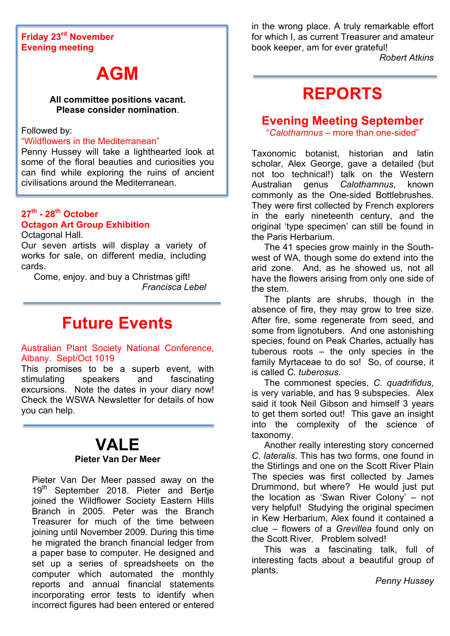#### **Friday 23rd November Evening meeting**

# **AGM**

#### **All committee positions vacant. Please consider nomination**.

#### Followed by:

#### "Wildflowers in the Mediterranean"

Penny Hussey will take a lighthearted look at some of the floral beauties and curiosities you can find while exploring the ruins of ancient civilisations around the Mediterranean.

#### **27th - 28th October Octagon Art Group Exhibition** Octagonal Hall.

Our seven artists will display a variety of works for sale, on different media, including cards.

 Come, enjoy. and buy a Christmas gift! *Francisca Lebel*

# **Future Events**

#### Australian Plant Society National Conference, Albany. Sept/Oct 1019

This promises to be a superb event, with stimulating speakers and fascinating excursions. Note the dates in your diary now! Check the WSWA Newsletter for details of how you can help.

# **VALE Pieter Van Der Meer**

Pieter Van Der Meer passed away on the 19<sup>th</sup> September 2018. Pieter and Bertje joined the Wildflower Society Eastern Hills Branch in 2005. Peter was the Branch Treasurer for much of the time between joining until November 2009. During this time he migrated the branch financial ledger from a paper base to computer. He designed and set up a series of spreadsheets on the computer which automated the monthly reports and annual financial statements incorporating error tests to identify when incorrect figures had been entered or entered

in the wrong place. A truly remarkable effort for which I, as current Treasurer and amateur book keeper, am for ever grateful!

*Robert Atkins*

# **REPORTS**

### **Evening Meeting September**

"*Calothamnus* – more than one-sided"

Taxonomic botanist, historian and latin scholar, Alex George, gave a detailed (but not too technical!) talk on the Western Australian genus *Calothamnus*, known commonly as the One-sided Bottlebrushes. They were first collected by French explorers in the early nineteenth century, and the original 'type specimen' can still be found in the Paris Herbarium.

 The 41 species grow mainly in the Southwest of WA, though some do extend into the arid zone. And, as he showed us, not all have the flowers arising from only one side of the stem.

 The plants are shrubs, though in the absence of fire, they may grow to tree size. After fire, some regenerate from seed, and some from lignotubers. And one astonishing species, found on Peak Charles, actually has tuberous roots – the only species in the family Myrtaceae to do so! So, of course, it is called *C. tuberosus*.

 The commonest species, *C. quadrifidus*, is very variable, and has 9 subspecies. Alex said it took Neil Gibson and himself 3 years to get them sorted out! This gave an insight into the complexity of the science of taxonomy.

 Another really interesting story concerned *C. lateralis*. This has two forms, one found in the Stirlings and one on the Scott River Plain The species was first collected by James Drummond, but where? He would just put the location as 'Swan River Colony' – not very helpful! Studying the original specimen in Kew Herbarium, Alex found it contained a clue – flowers of a *Grevillea* found only on the Scott River. Problem solved!

 This was a fascinating talk, full of interesting facts about a beautiful group of plants.

*Penny Hussey*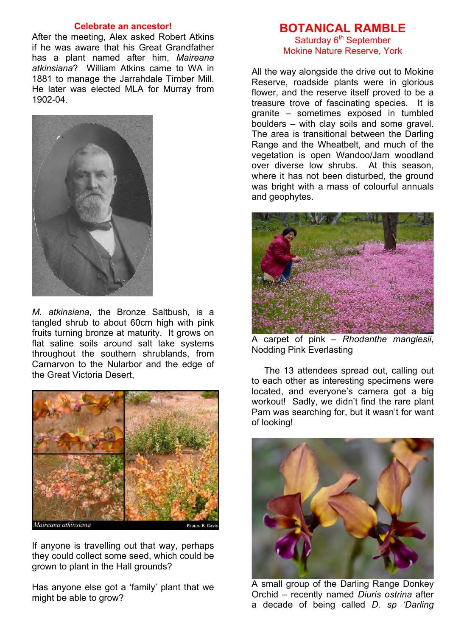#### **Celebrate an ancestor!**

After the meeting, Alex asked Robert Atkins if he was aware that his Great Grandfather has a plant named after him, *Maireana atkinsiana*? William Atkins came to WA in 1881 to manage the Jarrahdale Timber Mill. He later was elected MLA for Murray from 1902-04.



*M. atkinsiana*, the Bronze Saltbush, is a tangled shrub to about 60cm high with pink fruits turning bronze at maturity. It grows on flat saline soils around salt lake systems throughout the southern shrublands, from Carnarvon to the Nularbor and the edge of the Great Victoria Desert,



If anyone is travelling out that way, perhaps they could collect some seed, which could be grown to plant in the Hall grounds?

Has anyone else got a 'family' plant that we might be able to grow?

### **BOTANICAL RAMBLE**

Saturday 6<sup>th</sup> September Mokine Nature Reserve, York

All the way alongside the drive out to Mokine Reserve, roadside plants were in glorious flower, and the reserve itself proved to be a treasure trove of fascinating species. It is granite – sometimes exposed in tumbled boulders – with clay soils and some gravel. The area is transitional between the Darling Range and the Wheatbelt, and much of the vegetation is open Wandoo/Jam woodland over diverse low shrubs. At this season, where it has not been disturbed, the ground was bright with a mass of colourful annuals and geophytes.



A carpet of pink – *Rhodanthe manglesii*, Nodding Pink Everlasting

 The 13 attendees spread out, calling out to each other as interesting specimens were located, and everyone's camera got a big workout! Sadly, we didn't find the rare plant Pam was searching for, but it wasn't for want of looking!



A small group of the Darling Range Donkey Orchid – recently named *Diuris ostrina* after a decade of being called *D. sp 'Darling*